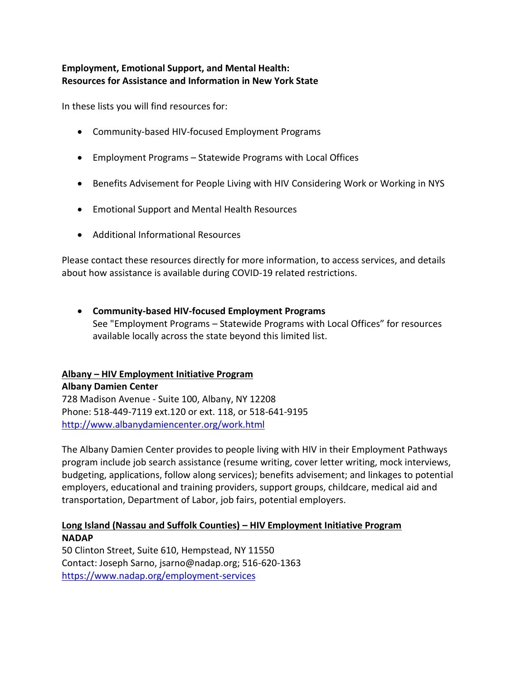# **Employment, Emotional Support, and Mental Health: Resources for Assistance and Information in New York State**

In these lists you will find resources for:

- Community-based HIV-focused Employment Programs
- Employment Programs Statewide Programs with Local Offices
- Benefits Advisement for People Living with HIV Considering Work or Working in NYS
- Emotional Support and Mental Health Resources
- Additional Informational Resources

Please contact these resources directly for more information, to access services, and details about how assistance is available during COVID-19 related restrictions.

• **Community-based HIV-focused Employment Programs** See "Employment Programs – Statewide Programs with Local Offices" for resources available locally across the state beyond this limited list.

# **Albany – HIV Employment Initiative Program**

**Albany Damien Center** 728 Madison Avenue - Suite 100, Albany, NY 12208 Phone: 518-449-7119 ext.120 or ext. 118, or 518-641-9195 <http://www.albanydamiencenter.org/work.html>

The Albany Damien Center provides to people living with HIV in their Employment Pathways program include job search assistance (resume writing, cover letter writing, mock interviews, budgeting, applications, follow along services); benefits advisement; and linkages to potential employers, educational and training providers, support groups, childcare, medical aid and transportation, Department of Labor, job fairs, potential employers.

# **Long Island (Nassau and Suffolk Counties) – HIV Employment Initiative Program NADAP**

50 Clinton Street, Suite 610, Hempstead, NY 11550 Contact: Joseph Sarno, jsarno@nadap.org; 516-620-1363 [https://www.nadap.org/employment-services](https://www.nadap.org/employment-services/)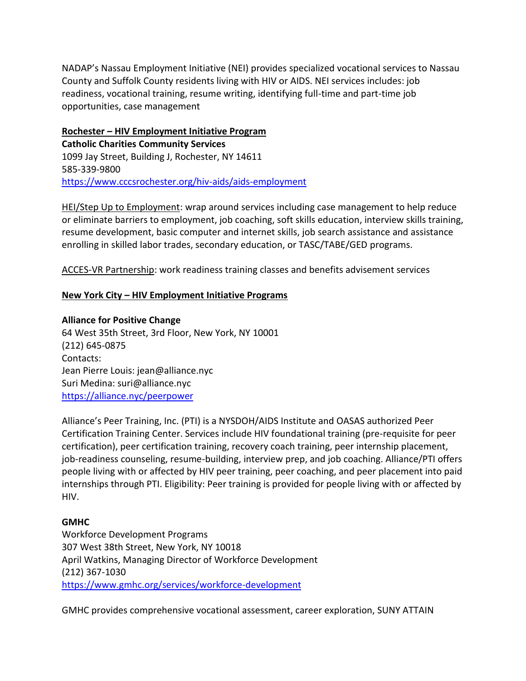NADAP's Nassau Employment Initiative (NEI) provides specialized vocational services to Nassau County and Suffolk County residents living with HIV or AIDS. NEI services includes: job readiness, vocational training, resume writing, identifying full-time and part-time job opportunities, case management

**Rochester – HIV Employment Initiative Program Catholic Charities Community Services** 1099 Jay Street, Building J, Rochester, NY 14611 585-339-9800 <https://www.cccsrochester.org/hiv-aids/aids-employment>

HEI/Step Up to Employment: wrap around services including case management to help reduce or eliminate barriers to employment, job coaching, soft skills education, interview skills training, resume development, basic computer and internet skills, job search assistance and assistance enrolling in skilled labor trades, secondary education, or TASC/TABE/GED programs.

ACCES-VR Partnership: work readiness training classes and benefits advisement services

### **New York City – HIV Employment Initiative Programs**

**Alliance for Positive Change** 64 West 35th Street, 3rd Floor, New York, NY 10001 (212) 645-0875 Contacts: Jean Pierre Louis: jean@alliance.nyc Suri Medina: suri@alliance.nyc <https://alliance.nyc/peerpower>

Alliance's Peer Training, Inc. (PTI) is a NYSDOH/AIDS Institute and OASAS authorized Peer Certification Training Center. Services include HIV foundational training (pre-requisite for peer certification), peer certification training, recovery coach training, peer internship placement, job-readiness counseling, resume-building, interview prep, and job coaching. Alliance/PTI offers people living with or affected by HIV peer training, peer coaching, and peer placement into paid internships through PTI. Eligibility: Peer training is provided for people living with or affected by HIV.

### **[GMHC](http://gmhc.org/gmhc-services/get-connected/workforce-development-program)**

Workforce Development Programs 307 West 38th Street, New York, NY 10018 April Watkins, Managing Director of Workforce Development (212) 367-1030 <https://www.gmhc.org/services/workforce-development>

GMHC provides comprehensive vocational assessment, career exploration, SUNY ATTAIN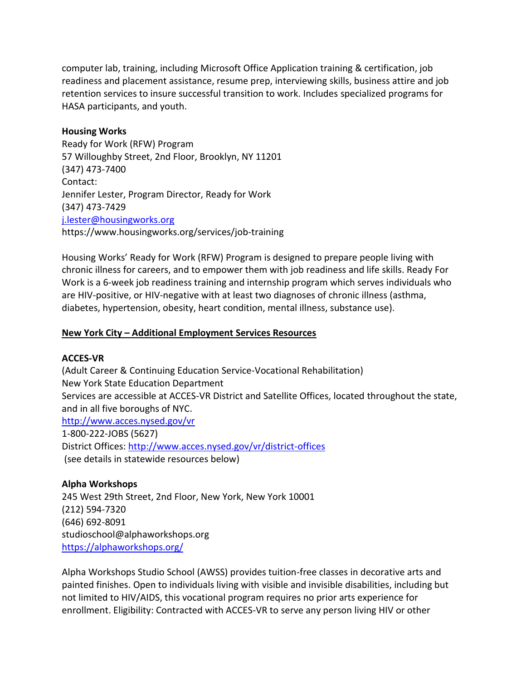computer lab, training, including Microsoft Office Application training & certification, job readiness and placement assistance, resume prep, interviewing skills, business attire and job retention services to insure successful transition to work. Includes specialized programs for HASA participants, and youth.

#### **[Housing Works](http://housingworks.org/)**

Ready for Work (RFW) Program 57 Willoughby Street, 2nd Floor, Brooklyn, NY 11201 (347) 473-7400 Contact: Jennifer Lester, Program Director, Ready for Work (347) 473-7429 [j.lester@housingworks.org](mailto:j.lester@housingworks.org) https://www.housingworks.org/services/job-training

Housing Works' Ready for Work (RFW) Program is designed to prepare people living with chronic illness for careers, and to empower them with job readiness and life skills. Ready For Work is a 6-week job readiness training and internship program which serves individuals who are HIV-positive, or HIV-negative with at least two diagnoses of chronic illness (asthma, diabetes, hypertension, obesity, heart condition, mental illness, substance use).

### **New York City – Additional Employment Services Resources**

#### **ACCES-VR**

(Adult Career & Continuing Education Service-Vocational Rehabilitation) New York State Education Department Services are accessible at ACCES-VR District and Satellite Offices, located throughout the state, and in all five boroughs of NYC. <http://www.acces.nysed.gov/vr> 1-800-222-JOBS (5627) District Offices:<http://www.acces.nysed.gov/vr/district-offices> (see details in statewide resources below)

#### **Alpha Workshops**

245 West 29th Street, 2nd Floor, New York, New York 10001 (212) 594-7320 (646) 692-8091 studioschool@alphaworkshops.org <https://alphaworkshops.org/>

Alpha Workshops Studio School (AWSS) provides tuition-free classes in decorative arts and painted finishes. Open to individuals living with visible and invisible disabilities, including but not limited to HIV/AIDS, this vocational program requires no prior arts experience for enrollment. Eligibility: Contracted with ACCES-VR to serve any person living HIV or other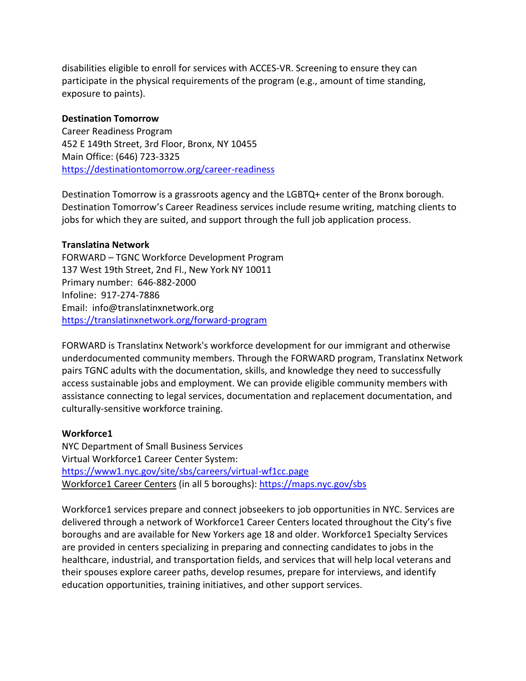disabilities eligible to enroll for services with ACCES-VR. Screening to ensure they can participate in the physical requirements of the program (e.g., amount of time standing, exposure to paints).

### **Destination Tomorrow**

Career Readiness Program 452 E 149th Street, 3rd Floor, Bronx, NY 10455 Main Office: (646) 723-3325 <https://destinationtomorrow.org/career-readiness>

Destination Tomorrow is a grassroots agency and the LGBTQ+ center of the Bronx borough. Destination Tomorrow's Career Readiness services include resume writing, matching clients to jobs for which they are suited, and support through the full job application process.

#### **Translatina Network**

FORWARD – TGNC Workforce Development Program 137 West 19th Street, 2nd Fl., New York NY 10011 Primary number: 646-882-2000 Infoline: 917-274-7886 Email: info@translatinxnetwork.org <https://translatinxnetwork.org/forward-program>

FORWARD is Translatinx Network's workforce development for our immigrant and otherwise underdocumented community members. Through the FORWARD program, Translatinx Network pairs TGNC adults with the documentation, skills, and knowledge they need to successfully access sustainable jobs and employment. We can provide eligible community members with assistance connecting to legal services, documentation and replacement documentation, and culturally-sensitive workforce training.

### **Workforce1**

NYC Department of Small Business Services Virtual Workforce1 Career Center System: <https://www1.nyc.gov/site/sbs/careers/virtual-wf1cc.page> Workforce1 Career Centers (in all 5 boroughs):<https://maps.nyc.gov/sbs>

Workforce1 services prepare and connect jobseekers to job opportunities in NYC. Services are delivered through a network of Workforce1 Career Centers located throughout the City's five boroughs and are available for New Yorkers age 18 and older. Workforce1 Specialty Services are provided in centers specializing in preparing and connecting candidates to jobs in the healthcare, industrial, and transportation fields, and services that will help local veterans and their spouses explore career paths, develop resumes, prepare for interviews, and identify education opportunities, training initiatives, and other support services.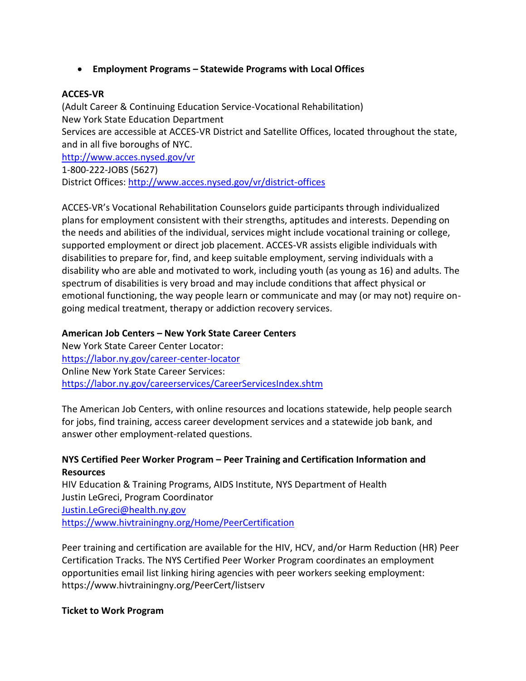• **Employment Programs – Statewide Programs with Local Offices** 

### **ACCES-VR**

(Adult Career & Continuing Education Service-Vocational Rehabilitation) New York State Education Department Services are accessible at ACCES-VR District and Satellite Offices, located throughout the state, and in all five boroughs of NYC. <http://www.acces.nysed.gov/vr> 1-800-222-JOBS (5627)

District Offices:<http://www.acces.nysed.gov/vr/district-offices>

ACCES-VR's Vocational Rehabilitation Counselors guide participants through individualized plans for employment consistent with their strengths, aptitudes and interests. Depending on the needs and abilities of the individual, services might include vocational training or college, supported employment or direct job placement. ACCES-VR assists eligible individuals with disabilities to prepare for, find, and keep suitable employment, serving individuals with a disability who are able and motivated to work, including youth (as young as 16) and adults. The spectrum of disabilities is very broad and may include conditions that affect physical or emotional functioning, the way people learn or communicate and may (or may not) require ongoing medical treatment, therapy or addiction recovery services.

### **American Job Centers – New York State Career Centers**

New York State Career Center Locator: <https://labor.ny.gov/career-center-locator> Online New York State Career Services: <https://labor.ny.gov/careerservices/CareerServicesIndex.shtm>

The American Job Centers, with online resources and locations statewide, help people search for jobs, find training, access career development services and a statewide job bank, and answer other employment-related questions.

### **NYS Certified Peer Worker Program – Peer Training and Certification Information and Resources**

HIV Education & Training Programs, AIDS Institute, NYS Department of Health Justin LeGreci, Program Coordinator [Justin.LeGreci@health.ny.gov](mailto:Justin.LeGreci@health.ny.gov) <https://www.hivtrainingny.org/Home/PeerCertification>

Peer training and certification are available for the HIV, HCV, and/or Harm Reduction (HR) Peer Certification Tracks. The NYS Certified Peer Worker Program coordinates an employment opportunities email list linking hiring agencies with peer workers seeking employment: https://www.hivtrainingny.org/PeerCert/listserv

### **Ticket to Work Program**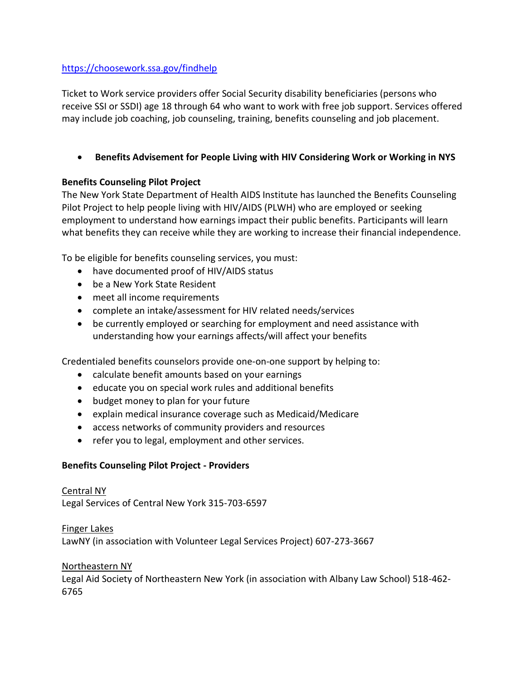# <https://choosework.ssa.gov/findhelp>

Ticket to Work service providers offer Social Security disability beneficiaries (persons who receive SSI or SSDI) age 18 through 64 who want to work with free job support. Services offered may include job coaching, job counseling, training, benefits counseling and job placement.

# • **Benefits Advisement for People Living with HIV Considering Work or Working in NYS**

# **Benefits Counseling Pilot Project**

The New York State Department of Health AIDS Institute has launched the Benefits Counseling Pilot Project to help people living with HIV/AIDS (PLWH) who are employed or seeking employment to understand how earnings impact their public benefits. Participants will learn what benefits they can receive while they are working to increase their financial independence.

To be eligible for benefits counseling services, you must:

- have documented proof of HIV/AIDS status
- be a New York State Resident
- meet all income requirements
- complete an intake/assessment for HIV related needs/services
- be currently employed or searching for employment and need assistance with understanding how your earnings affects/will affect your benefits

Credentialed benefits counselors provide one-on-one support by helping to:

- calculate benefit amounts based on your earnings
- educate you on special work rules and additional benefits
- budget money to plan for your future
- explain medical insurance coverage such as Medicaid/Medicare
- access networks of community providers and resources
- refer you to legal, employment and other services.

# **Benefits Counseling Pilot Project - Providers**

Central NY Legal Services of Central New York 315-703-6597

Finger Lakes LawNY (in association with Volunteer Legal Services Project) 607-273-3667

# Northeastern NY

Legal Aid Society of Northeastern New York (in association with Albany Law School) 518-462- 6765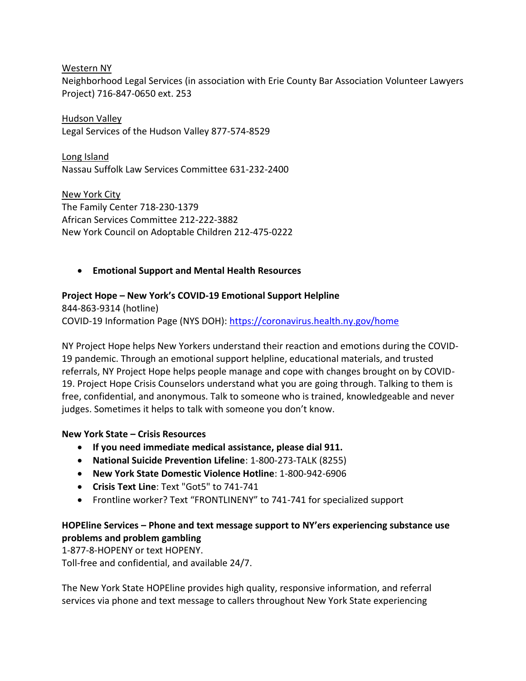Western NY

Neighborhood Legal Services (in association with Erie County Bar Association Volunteer Lawyers Project) 716-847-0650 ext. 253

Hudson Valley Legal Services of the Hudson Valley 877-574-8529

Long Island Nassau Suffolk Law Services Committee 631-232-2400

New York City The Family Center 718-230-1379 African Services Committee 212-222-3882 New York Council on Adoptable Children 212-475-0222

# • **Emotional Support and Mental Health Resources**

### **Project Hope – New York's COVID-19 Emotional Support Helpline**

[844-863-9314](tel:1-844-863-9314) (hotline) COVID-19 Information Page (NYS DOH):<https://coronavirus.health.ny.gov/home>

NY Project Hope helps New Yorkers understand their reaction and emotions during the COVID-19 pandemic. Through an emotional support helpline, educational materials, and trusted referrals, NY Project Hope helps people manage and cope with changes brought on by COVID-19. Project Hope Crisis Counselors understand what you are going through. Talking to them is free, confidential, and anonymous. Talk to someone who is trained, knowledgeable and never judges. Sometimes it helps to talk with someone you don't know.

### **New York State – Crisis Resources**

- **If you need immediate medical assistance, please dial 911.**
- **National Suicide Prevention Lifeline**: 1-800-273-TALK (8255)
- **New York State Domestic Violence Hotline**: 1-800-942-6906
- **Crisis Text Line**: Text "Got5" to 741-741
- Frontline worker? Text "FRONTLINENY" to 741-741 for specialized support

# **HOPEline Services – Phone and text message support to NY'ers experiencing substance use problems and problem gambling**

[1-877-8-HOPENY](tel:18778467369) or text [HOPENY.](tel:467369) Toll-free and confidential, and available 24/7.

The New York State HOPEline provides high quality, responsive information, and referral services via phone and text message to callers throughout New York State experiencing